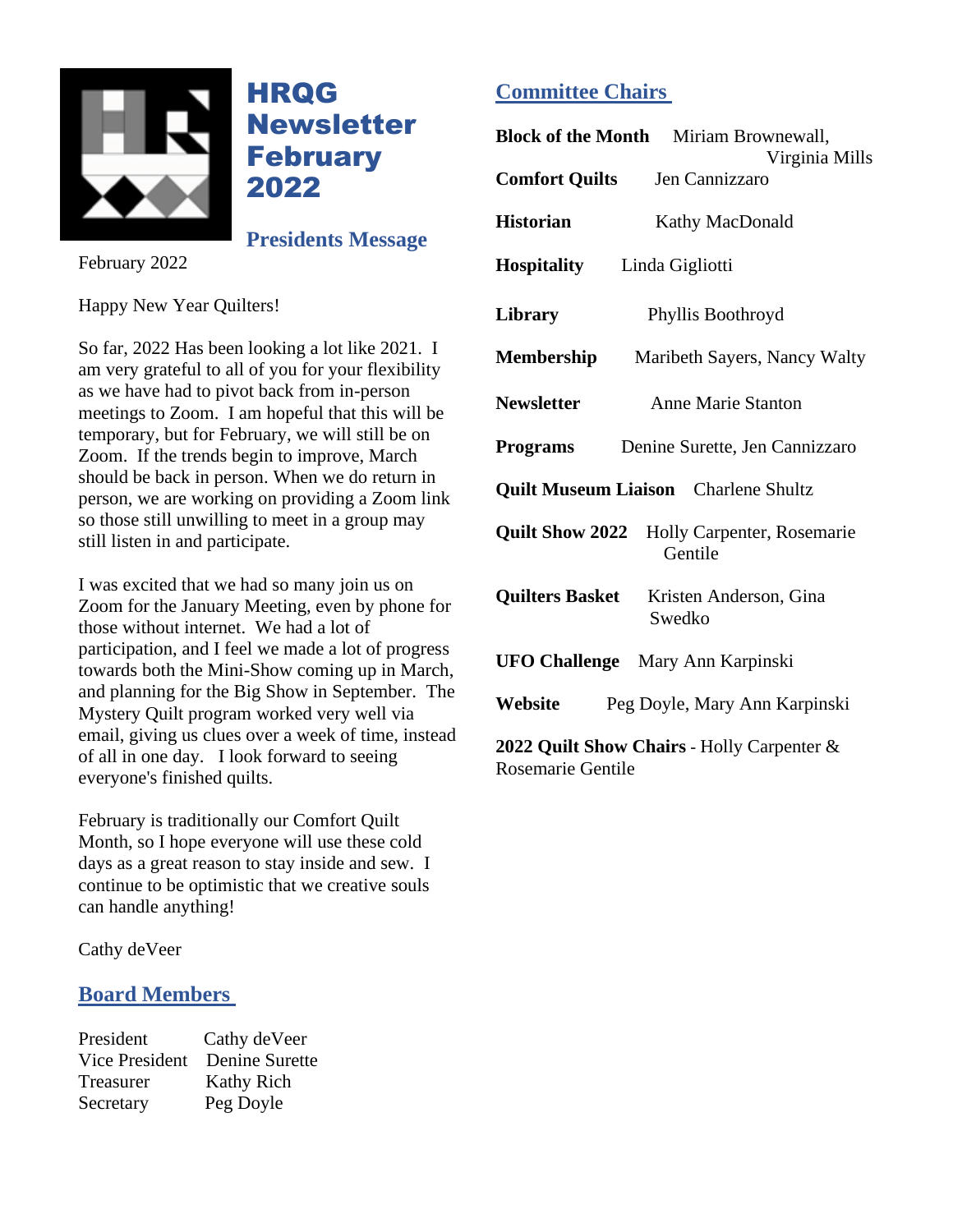

**HRQG** Newsletter **February** 2022

**Presidents Message**

February 2022

Happy New Year Quilters!

So far, 2022 Has been looking a lot like 2021. I am very grateful to all of you for your flexibility as we have had to pivot back from in-person meetings to Zoom. I am hopeful that this will be temporary, but for February, we will still be on Zoom. If the trends begin to improve, March should be back in person. When we do return in person, we are working on providing a Zoom link so those still unwilling to meet in a group may still listen in and participate.

I was excited that we had so many join us on Zoom for the January Meeting, even by phone for those without internet. We had a lot of participation, and I feel we made a lot of progress towards both the Mini-Show coming up in March, and planning for the Big Show in September. The Mystery Quilt program worked very well via email, giving us clues over a week of time, instead of all in one day. I look forward to seeing everyone's finished quilts.

February is traditionally our Comfort Quilt Month, so I hope everyone will use these cold days as a great reason to stay inside and sew. I continue to be optimistic that we creative souls can handle anything!

Cathy deVeer

### **Board Members**

President Cathy deVeer Vice President Denine Surette Treasurer Kathy Rich Secretary Peg Doyle

# **Committee Chairs**

| <b>Block of the Month</b> Miriam Brownewall,<br>Virginia Mills  |
|-----------------------------------------------------------------|
| <b>Comfort Quilts</b><br>Jen Cannizzaro                         |
| <b>Historian</b><br>Kathy MacDonald                             |
| <b>Hospitality</b><br>Linda Gigliotti                           |
| Library<br>Phyllis Boothroyd                                    |
| Membership<br>Maribeth Sayers, Nancy Walty                      |
| <b>Newsletter</b><br><b>Anne Marie Stanton</b>                  |
| <b>Programs</b><br>Denine Surette, Jen Cannizzaro               |
| <b>Quilt Museum Liaison</b> Charlene Shultz                     |
| <b>Quilt Show 2022</b><br>Holly Carpenter, Rosemarie<br>Gentile |
| <b>Quilters Basket</b><br>Kristen Anderson, Gina<br>Swedko      |
| <b>UFO Challenge</b> Mary Ann Karpinski                         |
| Website<br>Peg Doyle, Mary Ann Karpinski                        |
| 2022 Quilt Show Chairs - Holly Carpenter &                      |

Rosemarie Gentile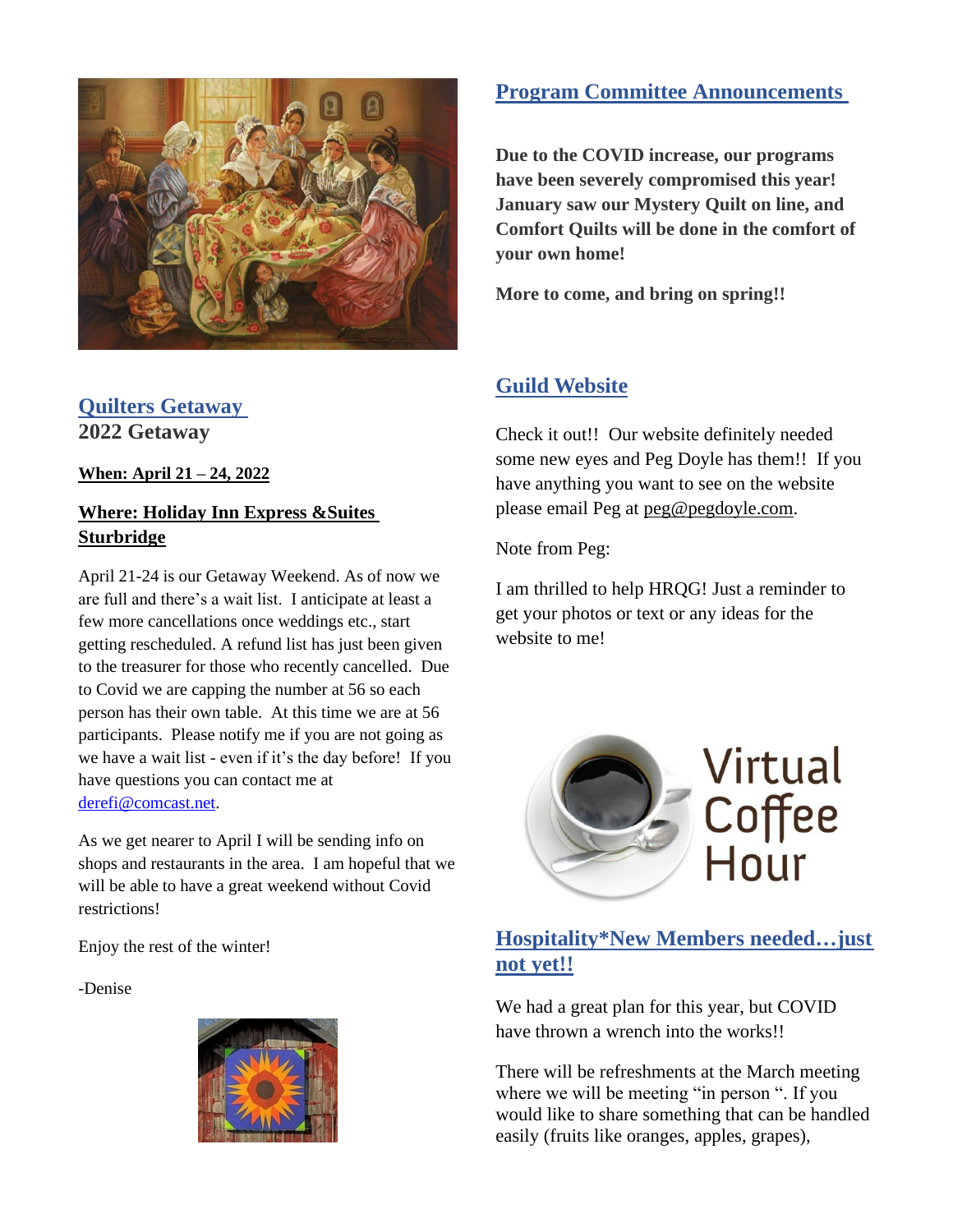

## **Quilters Getaway 2022 Getaway**

**When: April 21 – 24, 2022**

### **Where: Holiday Inn Express &Suites Sturbridge**

April 21-24 is our Getaway Weekend. As of now we are full and there's a wait list. I anticipate at least a few more cancellations once weddings etc., start getting rescheduled. A refund list has just been given to the treasurer for those who recently cancelled. Due to Covid we are capping the number at 56 so each person has their own table. At this time we are at 56 participants. Please notify me if you are not going as we have a wait list - even if it's the day before! If you have questions you can contact me at [derefi@comcast.net.](mailto:derefi@comcast.net)

As we get nearer to April I will be sending info on shops and restaurants in the area. I am hopeful that we will be able to have a great weekend without Covid restrictions!

Enjoy the rest of the winter!

-Denise



# **Program Committee Announcements**

**Due to the COVID increase, our programs have been severely compromised this year! January saw our Mystery Quilt on line, and Comfort Quilts will be done in the comfort of your own home!** 

**More to come, and bring on spring!!**

# **Guild Website**

Check it out!! Our website definitely needed some new eyes and Peg Doyle has them!! If you have anything you want to see on the website please email Peg at [peg@pegdoyle.com.](mailto:peg@pegdoyle.com)

Note from Peg:

I am thrilled to help HRQG! Just a reminder to get your photos or text or any ideas for the website to me!



# **Hospitality\*New Members needed…just not yet!!**

We had a great plan for this year, but COVID have thrown a wrench into the works!

There will be refreshments at the March meeting where we will be meeting "in person ". If you would like to share something that can be handled easily (fruits like oranges, apples, grapes),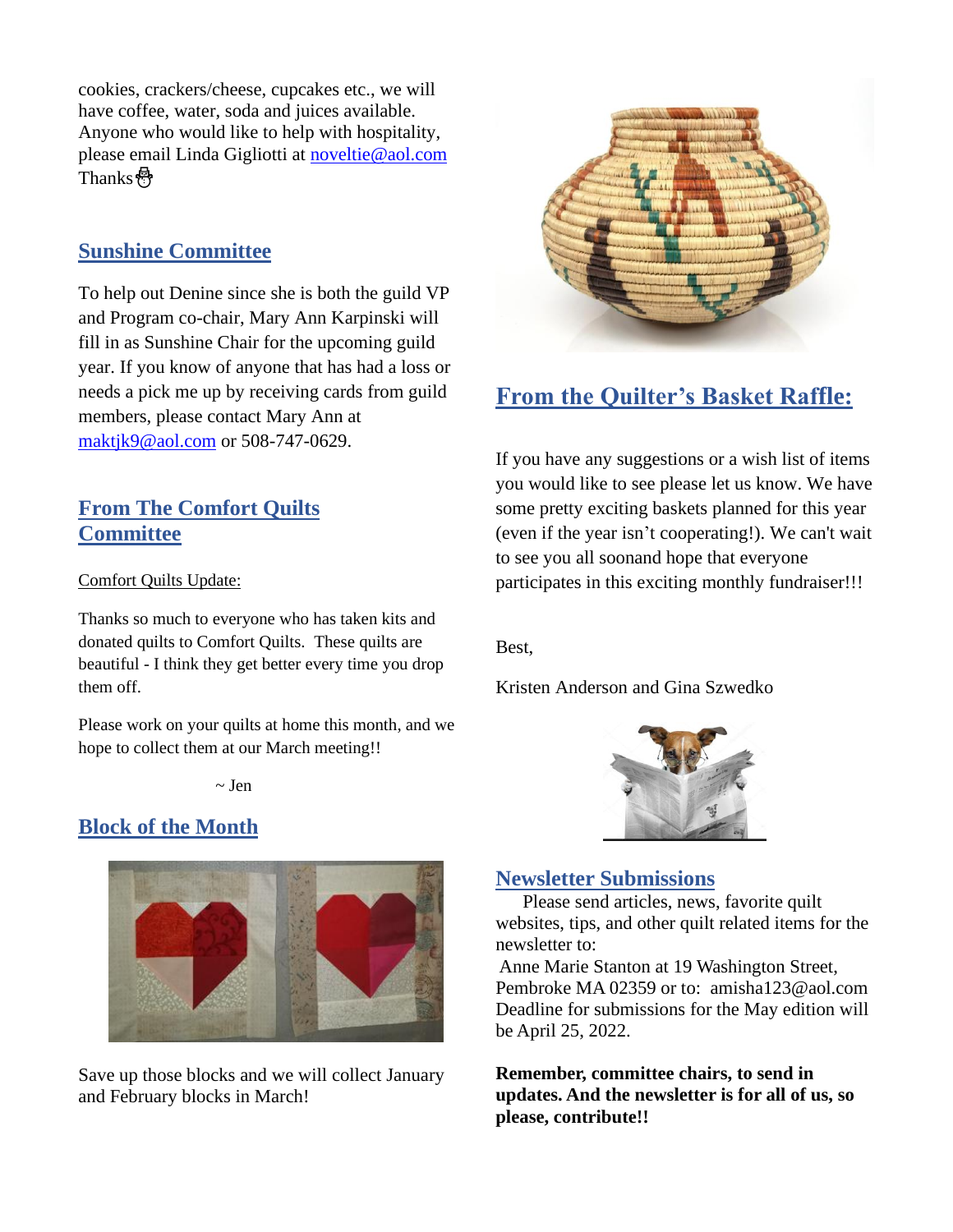cookies, crackers/cheese, cupcakes etc., we will have coffee, water, soda and juices available. Anyone who would like to help with hospitality, please email Linda Gigliotti at [noveltie@aol.com](mailto:noveltie@aol.com) Thanks⛄️

## **Sunshine Committee**

To help out Denine since she is both the guild VP and Program co-chair, Mary Ann Karpinski will fill in as Sunshine Chair for the upcoming guild year. If you know of anyone that has had a loss or needs a pick me up by receiving cards from guild members, please contact Mary Ann at [maktjk9@aol.com](mailto:maktjk9@aol.com) or 508-747-0629.

### **From The Comfort Quilts Committee**

Comfort Quilts Update:

Thanks so much to everyone who has taken kits and donated quilts to Comfort Quilts. These quilts are beautiful - I think they get better every time you drop them off.

Please work on your quilts at home this month, and we hope to collect them at our March meeting!!

 $\sim$  Jen

### **Block of the Month**



Save up those blocks and we will collect January and February blocks in March!



# **From the Quilter's Basket Raffle:**

If you have any suggestions or a wish list of items you would like to see please let us know. We have some pretty exciting baskets planned for this year (even if the year isn't cooperating!). We can't wait to see you all soonand hope that everyone participates in this exciting monthly fundraiser!!!

Best,

Kristen Anderson and Gina Szwedko



#### **Newsletter Submissions**

 Please send articles, news, favorite quilt websites, tips, and other quilt related items for the newsletter to:

Anne Marie Stanton at 19 Washington Street, Pembroke MA 02359 or to: amisha123@aol.com Deadline for submissions for the May edition will be April 25, 2022.

**Remember, committee chairs, to send in updates. And the newsletter is for all of us, so please, contribute!!**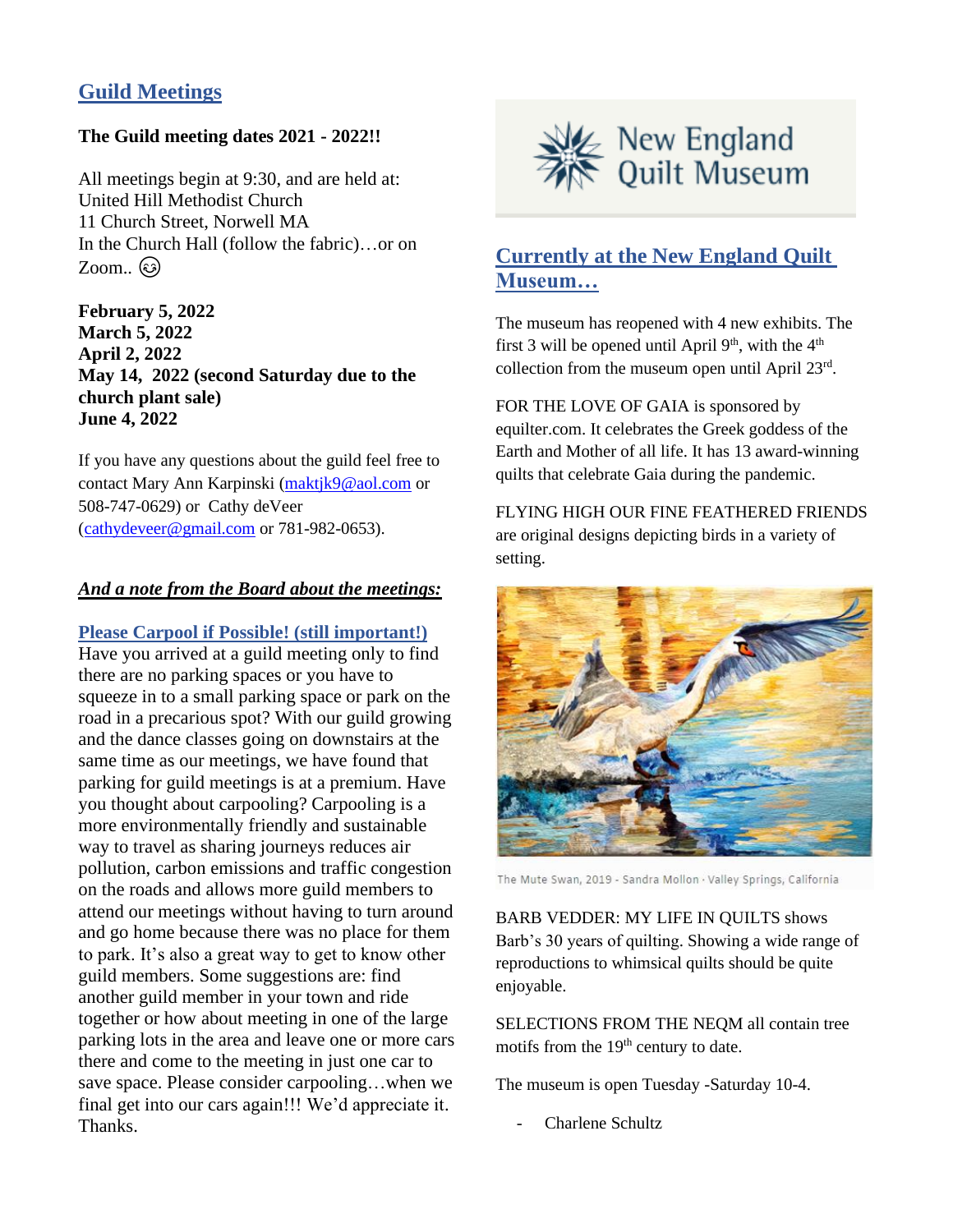## **Guild Meetings**

#### **The Guild meeting dates 2021 - 2022!!**

All meetings begin at 9:30, and are held at: United Hill Methodist Church 11 Church Street, Norwell MA In the Church Hall (follow the fabric)…or on  $Zoom.$   $\odot$ 

**February 5, 2022 March 5, 2022 April 2, 2022 May 14, 2022 (second Saturday due to the church plant sale) June 4, 2022**

If you have any questions about the guild feel free to contact Mary Ann Karpinski [\(maktjk9@aol.com](mailto:maktjk9@aol.com) or 508-747-0629) or Cathy deVeer [\(cathydeveer@gmail.com](mailto:cathydeveer@gmail.com) or 781-982-0653).

#### *And a note from the Board about the meetings:*

**Please Carpool if Possible! (still important!)**

Have you arrived at a guild meeting only to find there are no parking spaces or you have to squeeze in to a small parking space or park on the road in a precarious spot? With our guild growing and the dance classes going on downstairs at the same time as our meetings, we have found that parking for guild meetings is at a premium. Have you thought about carpooling? Carpooling is a more environmentally friendly and sustainable way to travel as sharing journeys reduces air pollution, carbon emissions and traffic congestion on the roads and allows more guild members to attend our meetings without having to turn around and go home because there was no place for them to park. It's also a great way to get to know other guild members. Some suggestions are: find another guild member in your town and ride together or how about meeting in one of the large parking lots in the area and leave one or more cars there and come to the meeting in just one car to save space. Please consider carpooling…when we final get into our cars again!!! We'd appreciate it. Thanks.



# **Currently at the New England Quilt Museum…**

The museum has reopened with 4 new exhibits. The first 3 will be opened until April  $9<sup>th</sup>$ , with the  $4<sup>th</sup>$ collection from the museum open until April  $23<sup>rd</sup>$ .

FOR THE LOVE OF GAIA is sponsored by equilter.com. It celebrates the Greek goddess of the Earth and Mother of all life. It has 13 award-winning quilts that celebrate Gaia during the pandemic.

FLYING HIGH OUR FINE FEATHERED FRIENDS are original designs depicting birds in a variety of setting.



The Mute Swan, 2019 - Sandra Mollon · Valley Springs, California

BARB VEDDER: MY LIFE IN QUILTS shows Barb's 30 years of quilting. Showing a wide range of reproductions to whimsical quilts should be quite enjoyable.

SELECTIONS FROM THE NEQM all contain tree motifs from the 19<sup>th</sup> century to date.

The museum is open Tuesday -Saturday 10-4.

Charlene Schultz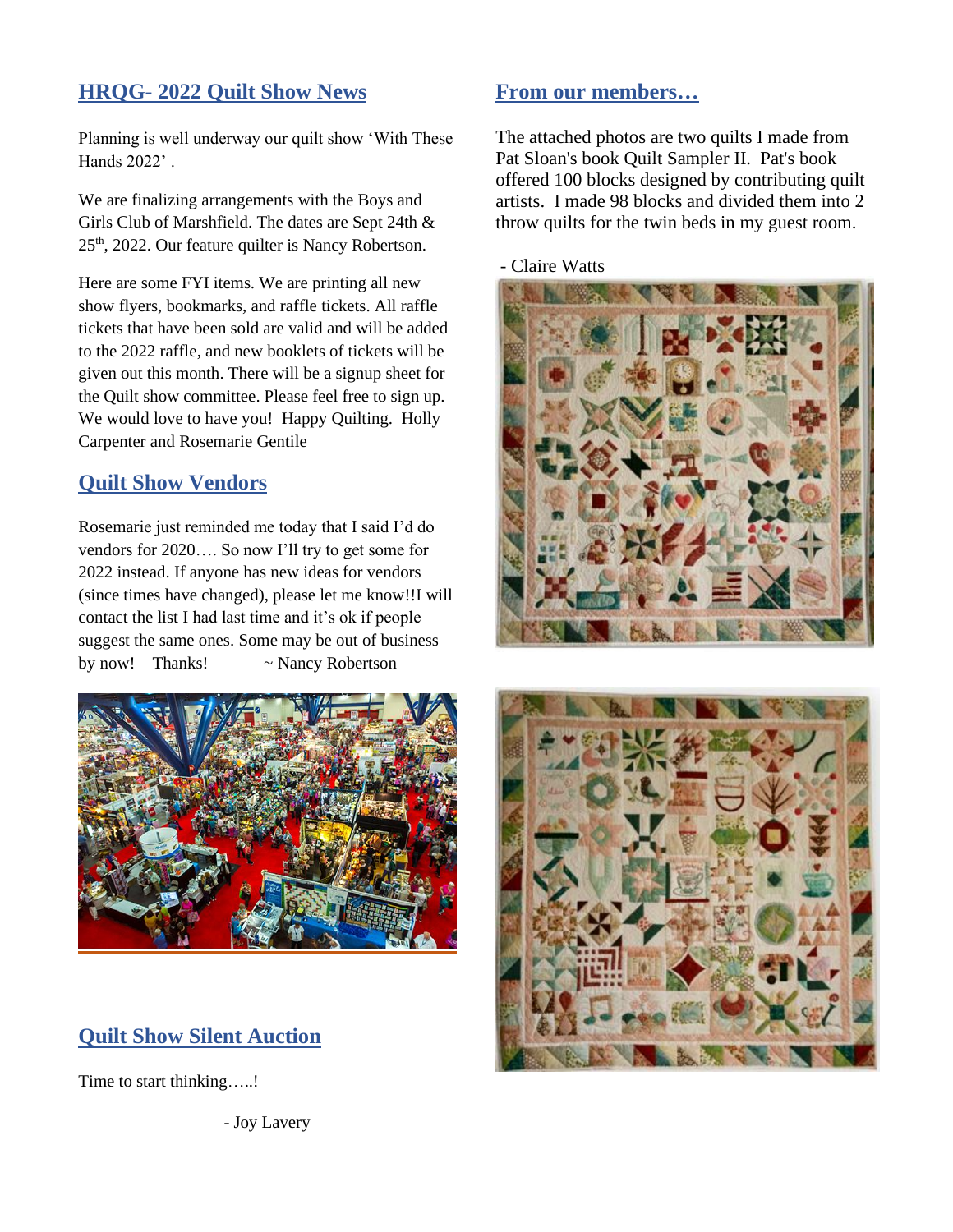### **HRQG- 2022 Quilt Show News**

Planning is well underway our quilt show 'With These Hands 2022' .

We are finalizing arrangements with the Boys and Girls Club of Marshfield. The dates are Sept 24th & 25th, 2022. Our feature quilter is Nancy Robertson.

Here are some FYI items. We are printing all new show flyers, bookmarks, and raffle tickets. All raffle tickets that have been sold are valid and will be added to the 2022 raffle, and new booklets of tickets will be given out this month. There will be a signup sheet for the Quilt show committee. Please feel free to sign up. We would love to have you! Happy Quilting. Holly Carpenter and Rosemarie Gentile

### **Quilt Show Vendors**

Rosemarie just reminded me today that I said I'd do vendors for 2020…. So now I'll try to get some for 2022 instead. If anyone has new ideas for vendors (since times have changed), please let me know!!I will contact the list I had last time and it's ok if people suggest the same ones. Some may be out of business by now! Thanks! ~ Nancy Robertson



# **Quilt Show Silent Auction**

Time to start thinking.....!

- Joy Lavery

#### **From our members…**

The attached photos are two quilts I made from Pat Sloan's book Quilt Sampler II. Pat's book offered 100 blocks designed by contributing quilt artists. I made 98 blocks and divided them into 2 throw quilts for the twin beds in my guest room.





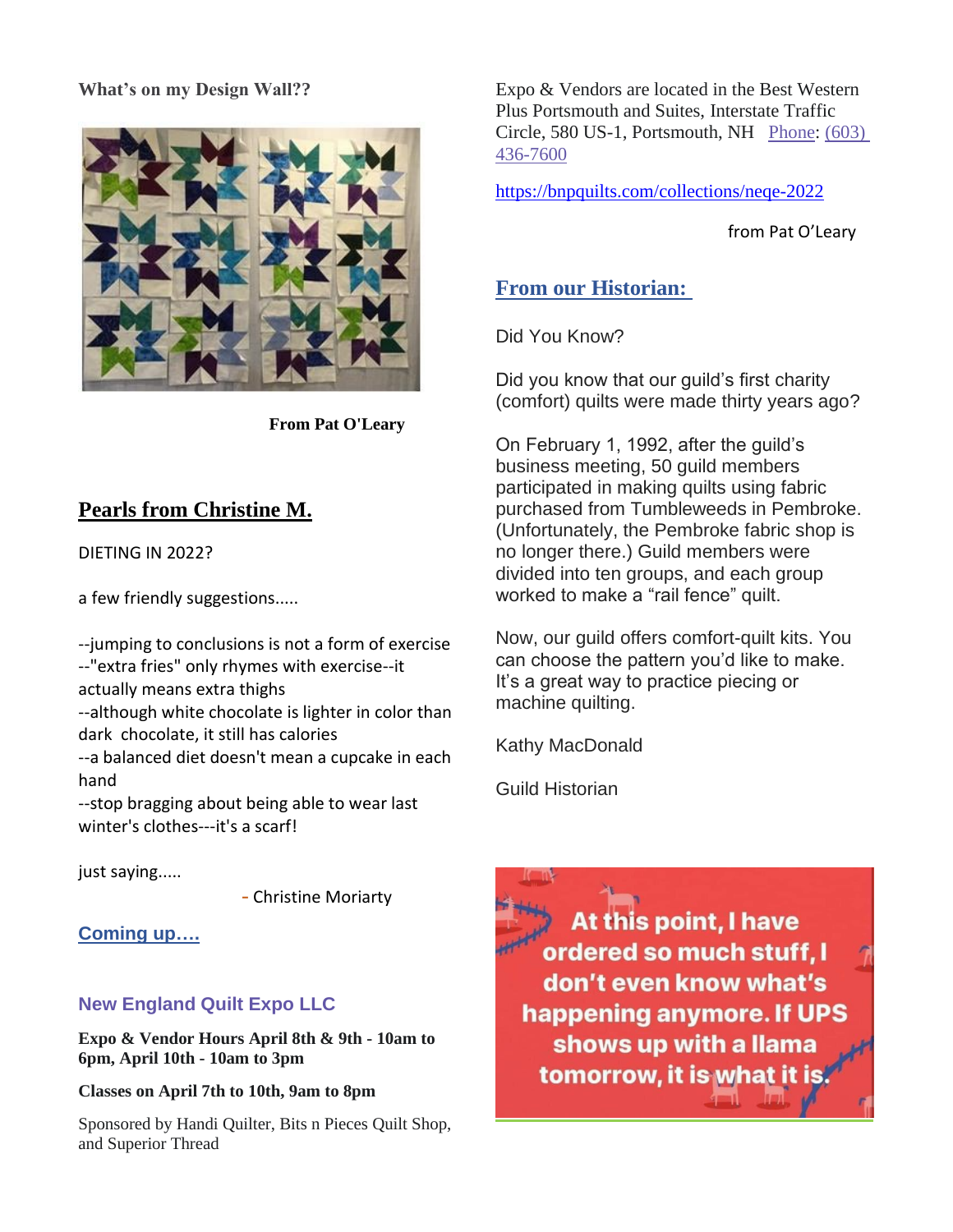#### **What's on my Design Wall??**



**From Pat O'Leary**

# **Pearls from Christine M.**

DIETING IN 2022?

a few friendly suggestions.....

--jumping to conclusions is not a form of exercise --"extra fries" only rhymes with exercise--it actually means extra thighs

--although white chocolate is lighter in color than dark chocolate, it still has calories

--a balanced diet doesn't mean a cupcake in each hand

--stop bragging about being able to wear last winter's clothes---it's a scarf!

just saying.....

- Christine Moriarty

**Coming up….**

# **New England Quilt Expo LLC**

**Expo & Vendor Hours April 8th & 9th - 10am to 6pm, April 10th - 10am to 3pm**

**Classes on April 7th to 10th, 9am to 8pm**

Sponsored by Handi Quilter, Bits n Pieces Quilt Shop, and Superior Thread

Expo & Vendors are located in the Best Western Plus Portsmouth and Suites, Interstate Traffic Circle, 580 US-1, Portsmouth, NH [Phone:](https://www.google.com/search?rlz=1C1CHBF_enUS910US911&q=best+western+plus+portsmouth+hotel+and+suites+phone&ludocid=12841303888157356690&sa=X&ved=2ahUKEwia_4nQ6Lb1AhVnUt8KHfrlBNoQ6BN6BAgYEAI) [\(603\)](https://www.google.com/search?gs_ssp=eJzj4tZP1zcsKUhKjjdKMmC0UjWosLBMNUpKMzdJMTJITLEwTrIyqEgyMjY1t0yxTDQyNzM2sjTykkpKLS5RKAcSqUV5CgX5RSXFufmlJRkKeRkAq8MY4w&q=best+western+portsmouth+nh&rlz=1C1CHBF_enUS910US911&oq=best+western+port&aqs=chrome.1.0i355i512j46i175i199i512j69i57j46i175i199i512j0i512j46i175i199i512l3j0i512j46i175i199i512.10792j0j15&sourceid=chrome&ie=UTF-8)  [436-7600](https://www.google.com/search?gs_ssp=eJzj4tZP1zcsKUhKjjdKMmC0UjWosLBMNUpKMzdJMTJITLEwTrIyqEgyMjY1t0yxTDQyNzM2sjTykkpKLS5RKAcSqUV5CgX5RSXFufmlJRkKeRkAq8MY4w&q=best+western+portsmouth+nh&rlz=1C1CHBF_enUS910US911&oq=best+western+port&aqs=chrome.1.0i355i512j46i175i199i512j69i57j46i175i199i512j0i512j46i175i199i512l3j0i512j46i175i199i512.10792j0j15&sourceid=chrome&ie=UTF-8)

<https://bnpquilts.com/collections/neqe-2022>

from Pat O'Leary

# **From our Historian:**

Did You Know?

Did you know that our guild's first charity (comfort) quilts were made thirty years ago?

On February 1, 1992, after the guild's business meeting, 50 guild members participated in making quilts using fabric purchased from Tumbleweeds in Pembroke. (Unfortunately, the Pembroke fabric shop is no longer there.) Guild members were divided into ten groups, and each group worked to make a "rail fence" quilt.

Now, our guild offers comfort-quilt kits. You can choose the pattern you'd like to make. It's a great way to practice piecing or machine quilting.

Kathy MacDonald

Guild Historian

At this point, I have ordered so much stuff, I don't even know what's happening anymore. If UPS shows up with a llama tomorrow, it is what it is